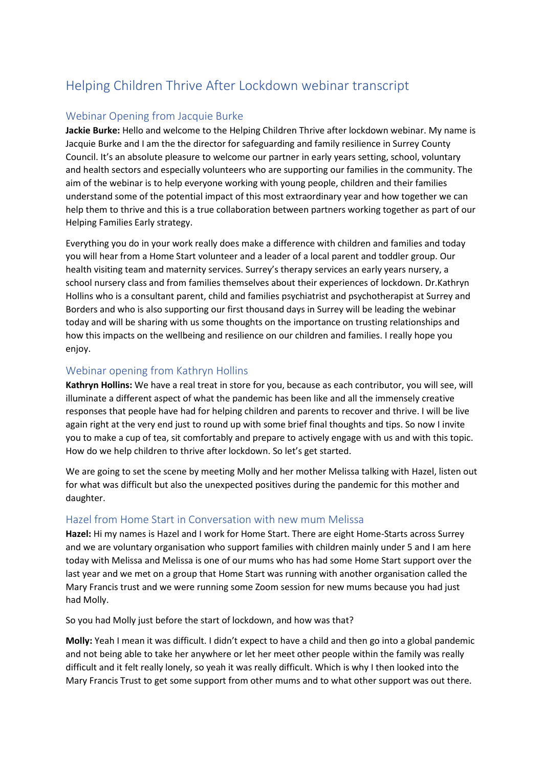# Helping Children Thrive After Lockdown webinar transcript

### Webinar Opening from Jacquie Burke

**Jackie Burke:** Hello and welcome to the Helping Children Thrive after lockdown webinar. My name is Jacquie Burke and I am the the director for safeguarding and family resilience in Surrey County Council. It's an absolute pleasure to welcome our partner in early years setting, school, voluntary and health sectors and especially volunteers who are supporting our families in the community. The aim of the webinar is to help everyone working with young people, children and their families understand some of the potential impact of this most extraordinary year and how together we can help them to thrive and this is a true collaboration between partners working together as part of our Helping Families Early strategy.

Everything you do in your work really does make a difference with children and families and today you will hear from a Home Start volunteer and a leader of a local parent and toddler group. Our health visiting team and maternity services. Surrey's therapy services an early years nursery, a school nursery class and from families themselves about their experiences of lockdown. Dr.Kathryn Hollins who is a consultant parent, child and families psychiatrist and psychotherapist at Surrey and Borders and who is also supporting our first thousand days in Surrey will be leading the webinar today and will be sharing with us some thoughts on the importance on trusting relationships and how this impacts on the wellbeing and resilience on our children and families. I really hope you enjoy.

### Webinar opening from Kathryn Hollins

**Kathryn Hollins:** We have a real treat in store for you, because as each contributor, you will see, will illuminate a different aspect of what the pandemic has been like and all the immensely creative responses that people have had for helping children and parents to recover and thrive. I will be live again right at the very end just to round up with some brief final thoughts and tips. So now I invite you to make a cup of tea, sit comfortably and prepare to actively engage with us and with this topic. How do we help children to thrive after lockdown. So let's get started.

We are going to set the scene by meeting Molly and her mother Melissa talking with Hazel, listen out for what was difficult but also the unexpected positives during the pandemic for this mother and daughter.

### Hazel from Home Start in Conversation with new mum Melissa

**Hazel:** Hi my names is Hazel and I work for Home Start. There are eight Home-Starts across Surrey and we are voluntary organisation who support families with children mainly under 5 and I am here today with Melissa and Melissa is one of our mums who has had some Home Start support over the last year and we met on a group that Home Start was running with another organisation called the Mary Francis trust and we were running some Zoom session for new mums because you had just had Molly.

So you had Molly just before the start of lockdown, and how was that?

**Molly:** Yeah I mean it was difficult. I didn't expect to have a child and then go into a global pandemic and not being able to take her anywhere or let her meet other people within the family was really difficult and it felt really lonely, so yeah it was really difficult. Which is why I then looked into the Mary Francis Trust to get some support from other mums and to what other support was out there.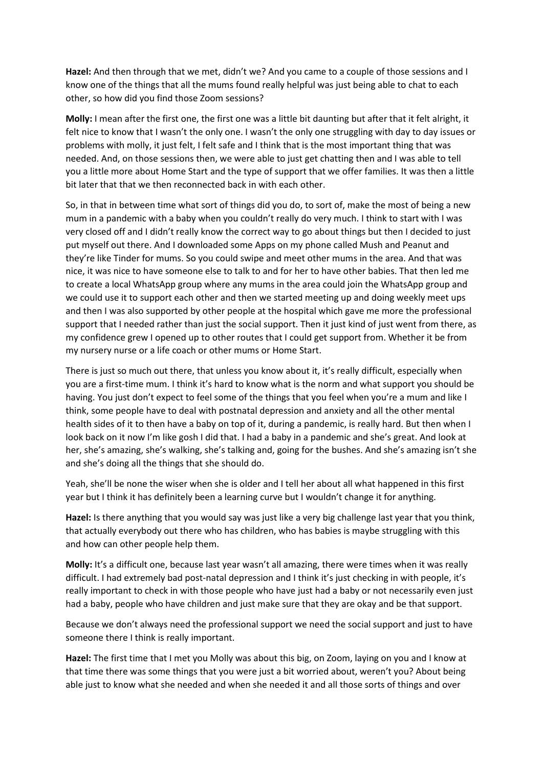**Hazel:** And then through that we met, didn't we? And you came to a couple of those sessions and I know one of the things that all the mums found really helpful was just being able to chat to each other, so how did you find those Zoom sessions?

**Molly:** I mean after the first one, the first one was a little bit daunting but after that it felt alright, it felt nice to know that I wasn't the only one. I wasn't the only one struggling with day to day issues or problems with molly, it just felt, I felt safe and I think that is the most important thing that was needed. And, on those sessions then, we were able to just get chatting then and I was able to tell you a little more about Home Start and the type of support that we offer families. It was then a little bit later that that we then reconnected back in with each other.

So, in that in between time what sort of things did you do, to sort of, make the most of being a new mum in a pandemic with a baby when you couldn't really do very much. I think to start with I was very closed off and I didn't really know the correct way to go about things but then I decided to just put myself out there. And I downloaded some Apps on my phone called Mush and Peanut and they're like Tinder for mums. So you could swipe and meet other mums in the area. And that was nice, it was nice to have someone else to talk to and for her to have other babies. That then led me to create a local WhatsApp group where any mums in the area could join the WhatsApp group and we could use it to support each other and then we started meeting up and doing weekly meet ups and then I was also supported by other people at the hospital which gave me more the professional support that I needed rather than just the social support. Then it just kind of just went from there, as my confidence grew I opened up to other routes that I could get support from. Whether it be from my nursery nurse or a life coach or other mums or Home Start.

There is just so much out there, that unless you know about it, it's really difficult, especially when you are a first-time mum. I think it's hard to know what is the norm and what support you should be having. You just don't expect to feel some of the things that you feel when you're a mum and like I think, some people have to deal with postnatal depression and anxiety and all the other mental health sides of it to then have a baby on top of it, during a pandemic, is really hard. But then when I look back on it now I'm like gosh I did that. I had a baby in a pandemic and she's great. And look at her, she's amazing, she's walking, she's talking and, going for the bushes. And she's amazing isn't she and she's doing all the things that she should do.

Yeah, she'll be none the wiser when she is older and I tell her about all what happened in this first year but I think it has definitely been a learning curve but I wouldn't change it for anything.

**Hazel:** Is there anything that you would say was just like a very big challenge last year that you think, that actually everybody out there who has children, who has babies is maybe struggling with this and how can other people help them.

**Molly:** It's a difficult one, because last year wasn't all amazing, there were times when it was really difficult. I had extremely bad post-natal depression and I think it's just checking in with people, it's really important to check in with those people who have just had a baby or not necessarily even just had a baby, people who have children and just make sure that they are okay and be that support.

Because we don't always need the professional support we need the social support and just to have someone there I think is really important.

**Hazel:** The first time that I met you Molly was about this big, on Zoom, laying on you and I know at that time there was some things that you were just a bit worried about, weren't you? About being able just to know what she needed and when she needed it and all those sorts of things and over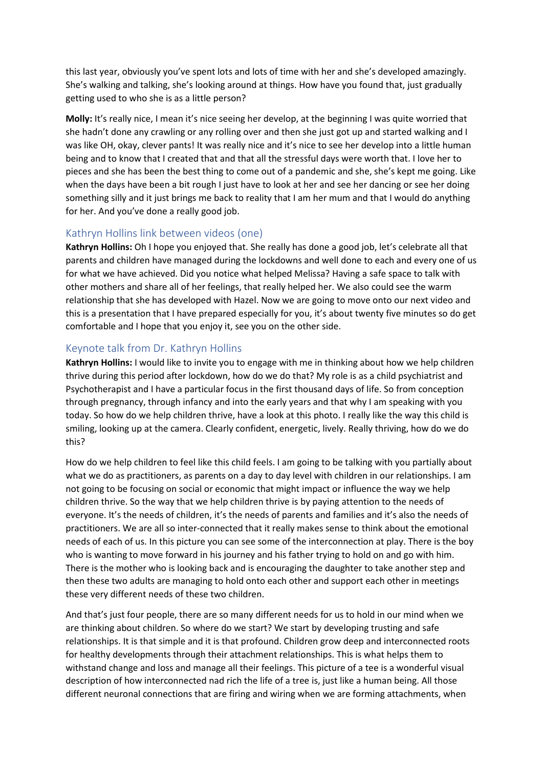this last year, obviously you've spent lots and lots of time with her and she's developed amazingly. She's walking and talking, she's looking around at things. How have you found that, just gradually getting used to who she is as a little person?

**Molly:** It's really nice, I mean it's nice seeing her develop, at the beginning I was quite worried that she hadn't done any crawling or any rolling over and then she just got up and started walking and I was like OH, okay, clever pants! It was really nice and it's nice to see her develop into a little human being and to know that I created that and that all the stressful days were worth that. I love her to pieces and she has been the best thing to come out of a pandemic and she, she's kept me going. Like when the days have been a bit rough I just have to look at her and see her dancing or see her doing something silly and it just brings me back to reality that I am her mum and that I would do anything for her. And you've done a really good job.

### Kathryn Hollins link between videos (one)

**Kathryn Hollins:** Oh I hope you enjoyed that. She really has done a good job, let's celebrate all that parents and children have managed during the lockdowns and well done to each and every one of us for what we have achieved. Did you notice what helped Melissa? Having a safe space to talk with other mothers and share all of her feelings, that really helped her. We also could see the warm relationship that she has developed with Hazel. Now we are going to move onto our next video and this is a presentation that I have prepared especially for you, it's about twenty five minutes so do get comfortable and I hope that you enjoy it, see you on the other side.

### Keynote talk from Dr. Kathryn Hollins

**Kathryn Hollins:** I would like to invite you to engage with me in thinking about how we help children thrive during this period after lockdown, how do we do that? My role is as a child psychiatrist and Psychotherapist and I have a particular focus in the first thousand days of life. So from conception through pregnancy, through infancy and into the early years and that why I am speaking with you today. So how do we help children thrive, have a look at this photo. I really like the way this child is smiling, looking up at the camera. Clearly confident, energetic, lively. Really thriving, how do we do this?

How do we help children to feel like this child feels. I am going to be talking with you partially about what we do as practitioners, as parents on a day to day level with children in our relationships. I am not going to be focusing on social or economic that might impact or influence the way we help children thrive. So the way that we help children thrive is by paying attention to the needs of everyone. It's the needs of children, it's the needs of parents and families and it's also the needs of practitioners. We are all so inter-connected that it really makes sense to think about the emotional needs of each of us. In this picture you can see some of the interconnection at play. There is the boy who is wanting to move forward in his journey and his father trying to hold on and go with him. There is the mother who is looking back and is encouraging the daughter to take another step and then these two adults are managing to hold onto each other and support each other in meetings these very different needs of these two children.

And that's just four people, there are so many different needs for us to hold in our mind when we are thinking about children. So where do we start? We start by developing trusting and safe relationships. It is that simple and it is that profound. Children grow deep and interconnected roots for healthy developments through their attachment relationships. This is what helps them to withstand change and loss and manage all their feelings. This picture of a tee is a wonderful visual description of how interconnected nad rich the life of a tree is, just like a human being. All those different neuronal connections that are firing and wiring when we are forming attachments, when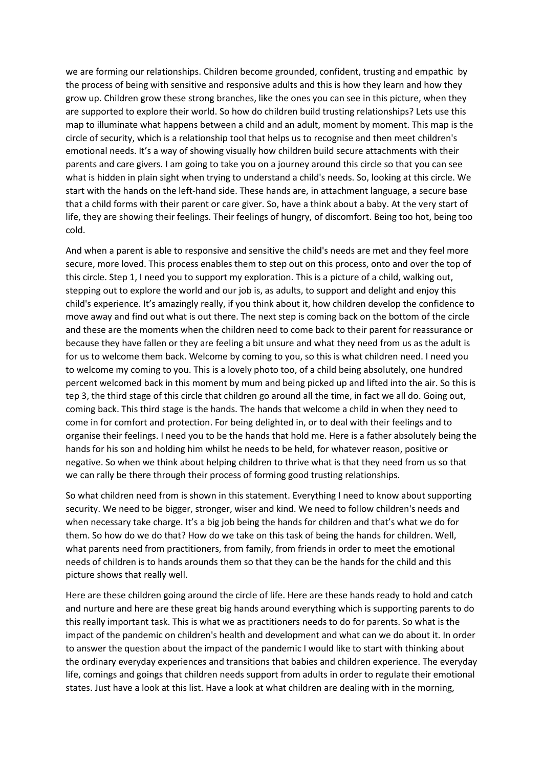we are forming our relationships. Children become grounded, confident, trusting and empathic by the process of being with sensitive and responsive adults and this is how they learn and how they grow up. Children grow these strong branches, like the ones you can see in this picture, when they are supported to explore their world. So how do children build trusting relationships? Lets use this map to illuminate what happens between a child and an adult, moment by moment. This map is the circle of security, which is a relationship tool that helps us to recognise and then meet children's emotional needs. It's a way of showing visually how children build secure attachments with their parents and care givers. I am going to take you on a journey around this circle so that you can see what is hidden in plain sight when trying to understand a child's needs. So, looking at this circle. We start with the hands on the left-hand side. These hands are, in attachment language, a secure base that a child forms with their parent or care giver. So, have a think about a baby. At the very start of life, they are showing their feelings. Their feelings of hungry, of discomfort. Being too hot, being too cold.

And when a parent is able to responsive and sensitive the child's needs are met and they feel more secure, more loved. This process enables them to step out on this process, onto and over the top of this circle. Step 1, I need you to support my exploration. This is a picture of a child, walking out, stepping out to explore the world and our job is, as adults, to support and delight and enjoy this child's experience. It's amazingly really, if you think about it, how children develop the confidence to move away and find out what is out there. The next step is coming back on the bottom of the circle and these are the moments when the children need to come back to their parent for reassurance or because they have fallen or they are feeling a bit unsure and what they need from us as the adult is for us to welcome them back. Welcome by coming to you, so this is what children need. I need you to welcome my coming to you. This is a lovely photo too, of a child being absolutely, one hundred percent welcomed back in this moment by mum and being picked up and lifted into the air. So this is tep 3, the third stage of this circle that children go around all the time, in fact we all do. Going out, coming back. This third stage is the hands. The hands that welcome a child in when they need to come in for comfort and protection. For being delighted in, or to deal with their feelings and to organise their feelings. I need you to be the hands that hold me. Here is a father absolutely being the hands for his son and holding him whilst he needs to be held, for whatever reason, positive or negative. So when we think about helping children to thrive what is that they need from us so that we can rally be there through their process of forming good trusting relationships.

So what children need from is shown in this statement. Everything I need to know about supporting security. We need to be bigger, stronger, wiser and kind. We need to follow children's needs and when necessary take charge. It's a big job being the hands for children and that's what we do for them. So how do we do that? How do we take on this task of being the hands for children. Well, what parents need from practitioners, from family, from friends in order to meet the emotional needs of children is to hands arounds them so that they can be the hands for the child and this picture shows that really well.

Here are these children going around the circle of life. Here are these hands ready to hold and catch and nurture and here are these great big hands around everything which is supporting parents to do this really important task. This is what we as practitioners needs to do for parents. So what is the impact of the pandemic on children's health and development and what can we do about it. In order to answer the question about the impact of the pandemic I would like to start with thinking about the ordinary everyday experiences and transitions that babies and children experience. The everyday life, comings and goings that children needs support from adults in order to regulate their emotional states. Just have a look at this list. Have a look at what children are dealing with in the morning,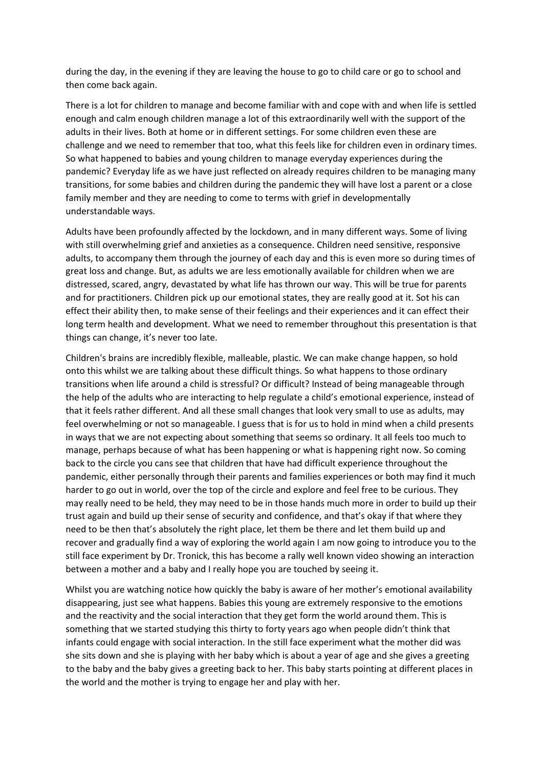during the day, in the evening if they are leaving the house to go to child care or go to school and then come back again.

There is a lot for children to manage and become familiar with and cope with and when life is settled enough and calm enough children manage a lot of this extraordinarily well with the support of the adults in their lives. Both at home or in different settings. For some children even these are challenge and we need to remember that too, what this feels like for children even in ordinary times. So what happened to babies and young children to manage everyday experiences during the pandemic? Everyday life as we have just reflected on already requires children to be managing many transitions, for some babies and children during the pandemic they will have lost a parent or a close family member and they are needing to come to terms with grief in developmentally understandable ways.

Adults have been profoundly affected by the lockdown, and in many different ways. Some of living with still overwhelming grief and anxieties as a consequence. Children need sensitive, responsive adults, to accompany them through the journey of each day and this is even more so during times of great loss and change. But, as adults we are less emotionally available for children when we are distressed, scared, angry, devastated by what life has thrown our way. This will be true for parents and for practitioners. Children pick up our emotional states, they are really good at it. Sot his can effect their ability then, to make sense of their feelings and their experiences and it can effect their long term health and development. What we need to remember throughout this presentation is that things can change, it's never too late.

Children's brains are incredibly flexible, malleable, plastic. We can make change happen, so hold onto this whilst we are talking about these difficult things. So what happens to those ordinary transitions when life around a child is stressful? Or difficult? Instead of being manageable through the help of the adults who are interacting to help regulate a child's emotional experience, instead of that it feels rather different. And all these small changes that look very small to use as adults, may feel overwhelming or not so manageable. I guess that is for us to hold in mind when a child presents in ways that we are not expecting about something that seems so ordinary. It all feels too much to manage, perhaps because of what has been happening or what is happening right now. So coming back to the circle you cans see that children that have had difficult experience throughout the pandemic, either personally through their parents and families experiences or both may find it much harder to go out in world, over the top of the circle and explore and feel free to be curious. They may really need to be held, they may need to be in those hands much more in order to build up their trust again and build up their sense of security and confidence, and that's okay if that where they need to be then that's absolutely the right place, let them be there and let them build up and recover and gradually find a way of exploring the world again I am now going to introduce you to the still face experiment by Dr. Tronick, this has become a rally well known video showing an interaction between a mother and a baby and I really hope you are touched by seeing it.

Whilst you are watching notice how quickly the baby is aware of her mother's emotional availability disappearing, just see what happens. Babies this young are extremely responsive to the emotions and the reactivity and the social interaction that they get form the world around them. This is something that we started studying this thirty to forty years ago when people didn't think that infants could engage with social interaction. In the still face experiment what the mother did was she sits down and she is playing with her baby which is about a year of age and she gives a greeting to the baby and the baby gives a greeting back to her. This baby starts pointing at different places in the world and the mother is trying to engage her and play with her.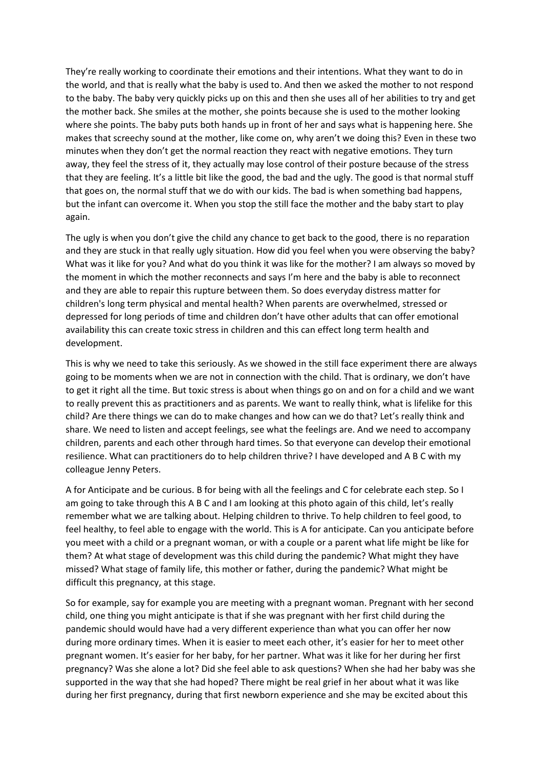They're really working to coordinate their emotions and their intentions. What they want to do in the world, and that is really what the baby is used to. And then we asked the mother to not respond to the baby. The baby very quickly picks up on this and then she uses all of her abilities to try and get the mother back. She smiles at the mother, she points because she is used to the mother looking where she points. The baby puts both hands up in front of her and says what is happening here. She makes that screechy sound at the mother, like come on, why aren't we doing this? Even in these two minutes when they don't get the normal reaction they react with negative emotions. They turn away, they feel the stress of it, they actually may lose control of their posture because of the stress that they are feeling. It's a little bit like the good, the bad and the ugly. The good is that normal stuff that goes on, the normal stuff that we do with our kids. The bad is when something bad happens, but the infant can overcome it. When you stop the still face the mother and the baby start to play again.

The ugly is when you don't give the child any chance to get back to the good, there is no reparation and they are stuck in that really ugly situation. How did you feel when you were observing the baby? What was it like for you? And what do you think it was like for the mother? I am always so moved by the moment in which the mother reconnects and says I'm here and the baby is able to reconnect and they are able to repair this rupture between them. So does everyday distress matter for children's long term physical and mental health? When parents are overwhelmed, stressed or depressed for long periods of time and children don't have other adults that can offer emotional availability this can create toxic stress in children and this can effect long term health and development.

This is why we need to take this seriously. As we showed in the still face experiment there are always going to be moments when we are not in connection with the child. That is ordinary, we don't have to get it right all the time. But toxic stress is about when things go on and on for a child and we want to really prevent this as practitioners and as parents. We want to really think, what is lifelike for this child? Are there things we can do to make changes and how can we do that? Let's really think and share. We need to listen and accept feelings, see what the feelings are. And we need to accompany children, parents and each other through hard times. So that everyone can develop their emotional resilience. What can practitioners do to help children thrive? I have developed and A B C with my colleague Jenny Peters.

A for Anticipate and be curious. B for being with all the feelings and C for celebrate each step. So I am going to take through this A B C and I am looking at this photo again of this child, let's really remember what we are talking about. Helping children to thrive. To help children to feel good, to feel healthy, to feel able to engage with the world. This is A for anticipate. Can you anticipate before you meet with a child or a pregnant woman, or with a couple or a parent what life might be like for them? At what stage of development was this child during the pandemic? What might they have missed? What stage of family life, this mother or father, during the pandemic? What might be difficult this pregnancy, at this stage.

So for example, say for example you are meeting with a pregnant woman. Pregnant with her second child, one thing you might anticipate is that if she was pregnant with her first child during the pandemic should would have had a very different experience than what you can offer her now during more ordinary times. When it is easier to meet each other, it's easier for her to meet other pregnant women. It's easier for her baby, for her partner. What was it like for her during her first pregnancy? Was she alone a lot? Did she feel able to ask questions? When she had her baby was she supported in the way that she had hoped? There might be real grief in her about what it was like during her first pregnancy, during that first newborn experience and she may be excited about this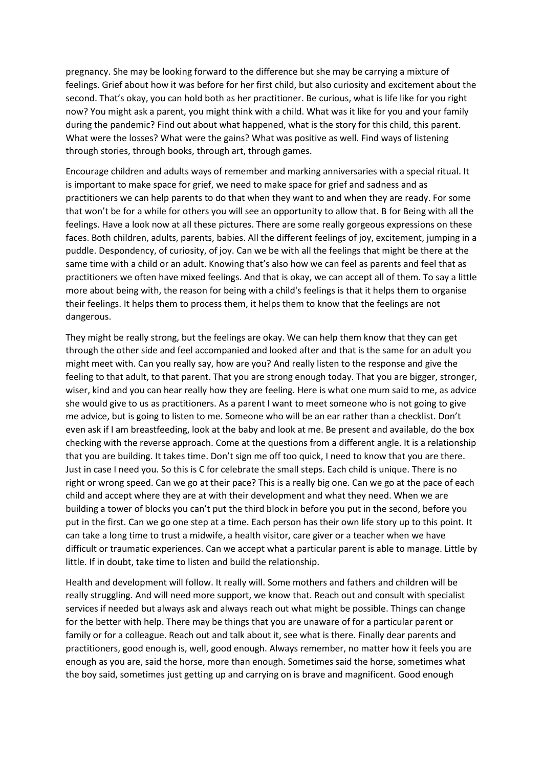pregnancy. She may be looking forward to the difference but she may be carrying a mixture of feelings. Grief about how it was before for her first child, but also curiosity and excitement about the second. That's okay, you can hold both as her practitioner. Be curious, what is life like for you right now? You might ask a parent, you might think with a child. What was it like for you and your family during the pandemic? Find out about what happened, what is the story for this child, this parent. What were the losses? What were the gains? What was positive as well. Find ways of listening through stories, through books, through art, through games.

Encourage children and adults ways of remember and marking anniversaries with a special ritual. It is important to make space for grief, we need to make space for grief and sadness and as practitioners we can help parents to do that when they want to and when they are ready. For some that won't be for a while for others you will see an opportunity to allow that. B for Being with all the feelings. Have a look now at all these pictures. There are some really gorgeous expressions on these faces. Both children, adults, parents, babies. All the different feelings of joy, excitement, jumping in a puddle. Despondency, of curiosity, of joy. Can we be with all the feelings that might be there at the same time with a child or an adult. Knowing that's also how we can feel as parents and feel that as practitioners we often have mixed feelings. And that is okay, we can accept all of them. To say a little more about being with, the reason for being with a child's feelings is that it helps them to organise their feelings. It helps them to process them, it helps them to know that the feelings are not dangerous.

They might be really strong, but the feelings are okay. We can help them know that they can get through the other side and feel accompanied and looked after and that is the same for an adult you might meet with. Can you really say, how are you? And really listen to the response and give the feeling to that adult, to that parent. That you are strong enough today. That you are bigger, stronger, wiser, kind and you can hear really how they are feeling. Here is what one mum said to me, as advice she would give to us as practitioners. As a parent I want to meet someone who is not going to give me advice, but is going to listen to me. Someone who will be an ear rather than a checklist. Don't even ask if I am breastfeeding, look at the baby and look at me. Be present and available, do the box checking with the reverse approach. Come at the questions from a different angle. It is a relationship that you are building. It takes time. Don't sign me off too quick, I need to know that you are there. Just in case I need you. So this is C for celebrate the small steps. Each child is unique. There is no right or wrong speed. Can we go at their pace? This is a really big one. Can we go at the pace of each child and accept where they are at with their development and what they need. When we are building a tower of blocks you can't put the third block in before you put in the second, before you put in the first. Can we go one step at a time. Each person has their own life story up to this point. It can take a long time to trust a midwife, a health visitor, care giver or a teacher when we have difficult or traumatic experiences. Can we accept what a particular parent is able to manage. Little by little. If in doubt, take time to listen and build the relationship.

Health and development will follow. It really will. Some mothers and fathers and children will be really struggling. And will need more support, we know that. Reach out and consult with specialist services if needed but always ask and always reach out what might be possible. Things can change for the better with help. There may be things that you are unaware of for a particular parent or family or for a colleague. Reach out and talk about it, see what is there. Finally dear parents and practitioners, good enough is, well, good enough. Always remember, no matter how it feels you are enough as you are, said the horse, more than enough. Sometimes said the horse, sometimes what the boy said, sometimes just getting up and carrying on is brave and magnificent. Good enough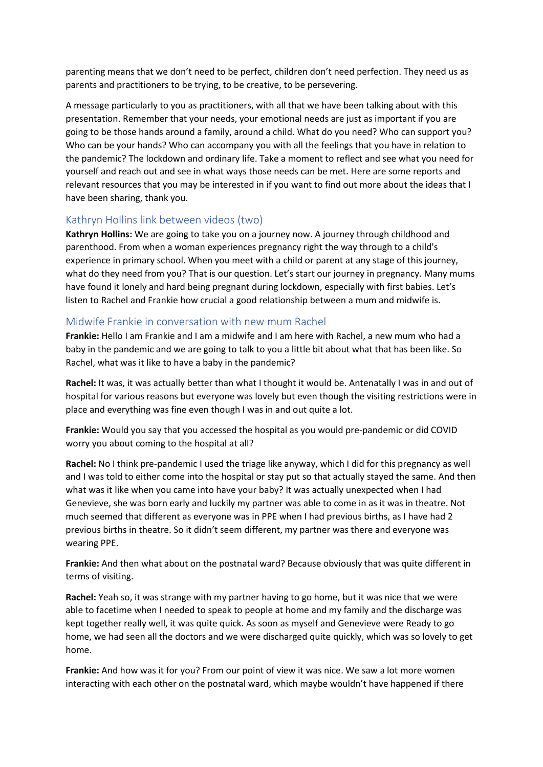parenting means that we don't need to be perfect, children don't need perfection. They need us as parents and practitioners to be trying, to be creative, to be persevering.

A message particularly to you as practitioners, with all that we have been talking about with this presentation. Remember that your needs, your emotional needs are just as important if you are going to be those hands around a family, around a child. What do you need? Who can support you? Who can be your hands? Who can accompany you with all the feelings that you have in relation to the pandemic? The lockdown and ordinary life. Take a moment to reflect and see what you need for yourself and reach out and see in what ways those needs can be met. Here are some reports and relevant resources that you may be interested in if you want to find out more about the ideas that I have been sharing, thank you.

### Kathryn Hollins link between videos (two)

**Kathryn Hollins:** We are going to take you on a journey now. A journey through childhood and parenthood. From when a woman experiences pregnancy right the way through to a child's experience in primary school. When you meet with a child or parent at any stage of this journey, what do they need from you? That is our question. Let's start our journey in pregnancy. Many mums have found it lonely and hard being pregnant during lockdown, especially with first babies. Let's listen to Rachel and Frankie how crucial a good relationship between a mum and midwife is.

### Midwife Frankie in conversation with new mum Rachel

**Frankie:** Hello I am Frankie and I am a midwife and I am here with Rachel, a new mum who had a baby in the pandemic and we are going to talk to you a little bit about what that has been like. So Rachel, what was it like to have a baby in the pandemic?

Rachel: It was, it was actually better than what I thought it would be. Antenatally I was in and out of hospital for various reasons but everyone was lovely but even though the visiting restrictions were in place and everything was fine even though I was in and out quite a lot.

**Frankie:** Would you say that you accessed the hospital as you would pre-pandemic or did COVID worry you about coming to the hospital at all?

**Rachel:** No I think pre-pandemic I used the triage like anyway, which I did for this pregnancy as well and I was told to either come into the hospital or stay put so that actually stayed the same. And then what was it like when you came into have your baby? It was actually unexpected when I had Genevieve, she was born early and luckily my partner was able to come in as it was in theatre. Not much seemed that different as everyone was in PPE when I had previous births, as I have had 2 previous births in theatre. So it didn't seem different, my partner was there and everyone was wearing PPE.

**Frankie:** And then what about on the postnatal ward? Because obviously that was quite different in terms of visiting.

**Rachel:** Yeah so, it was strange with my partner having to go home, but it was nice that we were able to facetime when I needed to speak to people at home and my family and the discharge was kept together really well, it was quite quick. As soon as myself and Genevieve were Ready to go home, we had seen all the doctors and we were discharged quite quickly, which was so lovely to get home.

**Frankie:** And how was it for you? From our point of view it was nice. We saw a lot more women interacting with each other on the postnatal ward, which maybe wouldn't have happened if there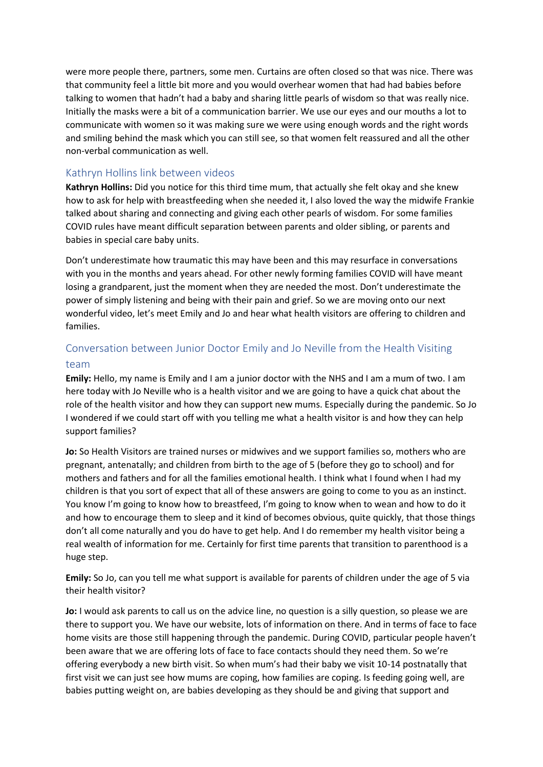were more people there, partners, some men. Curtains are often closed so that was nice. There was that community feel a little bit more and you would overhear women that had had babies before talking to women that hadn't had a baby and sharing little pearls of wisdom so that was really nice. Initially the masks were a bit of a communication barrier. We use our eyes and our mouths a lot to communicate with women so it was making sure we were using enough words and the right words and smiling behind the mask which you can still see, so that women felt reassured and all the other non-verbal communication as well.

### Kathryn Hollins link between videos

**Kathryn Hollins:** Did you notice for this third time mum, that actually she felt okay and she knew how to ask for help with breastfeeding when she needed it, I also loved the way the midwife Frankie talked about sharing and connecting and giving each other pearls of wisdom. For some families COVID rules have meant difficult separation between parents and older sibling, or parents and babies in special care baby units.

Don't underestimate how traumatic this may have been and this may resurface in conversations with you in the months and years ahead. For other newly forming families COVID will have meant losing a grandparent, just the moment when they are needed the most. Don't underestimate the power of simply listening and being with their pain and grief. So we are moving onto our next wonderful video, let's meet Emily and Jo and hear what health visitors are offering to children and families.

# Conversation between Junior Doctor Emily and Jo Neville from the Health Visiting team

**Emily:** Hello, my name is Emily and I am a junior doctor with the NHS and I am a mum of two. I am here today with Jo Neville who is a health visitor and we are going to have a quick chat about the role of the health visitor and how they can support new mums. Especially during the pandemic. So Jo I wondered if we could start off with you telling me what a health visitor is and how they can help support families?

**Jo:** So Health Visitors are trained nurses or midwives and we support families so, mothers who are pregnant, antenatally; and children from birth to the age of 5 (before they go to school) and for mothers and fathers and for all the families emotional health. I think what I found when I had my children is that you sort of expect that all of these answers are going to come to you as an instinct. You know I'm going to know how to breastfeed, I'm going to know when to wean and how to do it and how to encourage them to sleep and it kind of becomes obvious, quite quickly, that those things don't all come naturally and you do have to get help. And I do remember my health visitor being a real wealth of information for me. Certainly for first time parents that transition to parenthood is a huge step.

**Emily:** So Jo, can you tell me what support is available for parents of children under the age of 5 via their health visitor?

**Jo:** I would ask parents to call us on the advice line, no question is a silly question, so please we are there to support you. We have our website, lots of information on there. And in terms of face to face home visits are those still happening through the pandemic. During COVID, particular people haven't been aware that we are offering lots of face to face contacts should they need them. So we're offering everybody a new birth visit. So when mum's had their baby we visit 10-14 postnatally that first visit we can just see how mums are coping, how families are coping. Is feeding going well, are babies putting weight on, are babies developing as they should be and giving that support and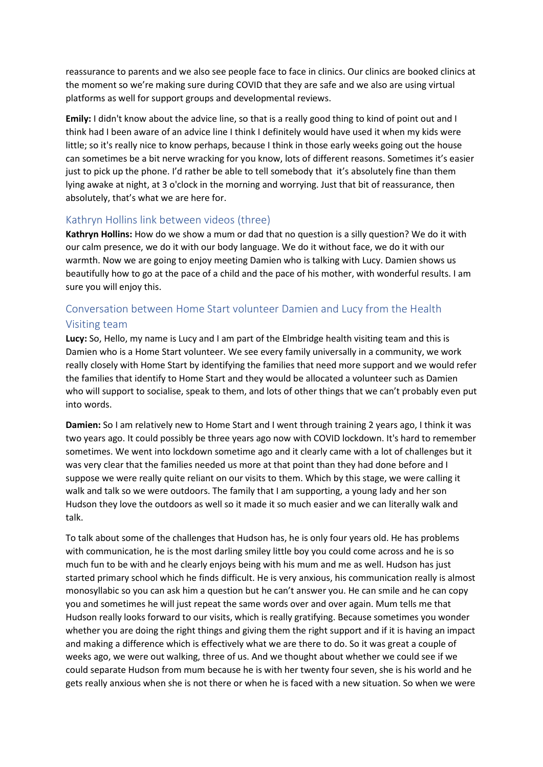reassurance to parents and we also see people face to face in clinics. Our clinics are booked clinics at the moment so we're making sure during COVID that they are safe and we also are using virtual platforms as well for support groups and developmental reviews.

**Emily:** I didn't know about the advice line, so that is a really good thing to kind of point out and I think had I been aware of an advice line I think I definitely would have used it when my kids were little; so it's really nice to know perhaps, because I think in those early weeks going out the house can sometimes be a bit nerve wracking for you know, lots of different reasons. Sometimes it's easier just to pick up the phone. I'd rather be able to tell somebody that it's absolutely fine than them lying awake at night, at 3 o'clock in the morning and worrying. Just that bit of reassurance, then absolutely, that's what we are here for.

### Kathryn Hollins link between videos (three)

**Kathryn Hollins:** How do we show a mum or dad that no question is a silly question? We do it with our calm presence, we do it with our body language. We do it without face, we do it with our warmth. Now we are going to enjoy meeting Damien who is talking with Lucy. Damien shows us beautifully how to go at the pace of a child and the pace of his mother, with wonderful results. I am sure you will enjoy this.

# Conversation between Home Start volunteer Damien and Lucy from the Health Visiting team

**Lucy:** So, Hello, my name is Lucy and I am part of the Elmbridge health visiting team and this is Damien who is a Home Start volunteer. We see every family universally in a community, we work really closely with Home Start by identifying the families that need more support and we would refer the families that identify to Home Start and they would be allocated a volunteer such as Damien who will support to socialise, speak to them, and lots of other things that we can't probably even put into words.

**Damien:** So I am relatively new to Home Start and I went through training 2 years ago, I think it was two years ago. It could possibly be three years ago now with COVID lockdown. It's hard to remember sometimes. We went into lockdown sometime ago and it clearly came with a lot of challenges but it was very clear that the families needed us more at that point than they had done before and I suppose we were really quite reliant on our visits to them. Which by this stage, we were calling it walk and talk so we were outdoors. The family that I am supporting, a young lady and her son Hudson they love the outdoors as well so it made it so much easier and we can literally walk and talk.

To talk about some of the challenges that Hudson has, he is only four years old. He has problems with communication, he is the most darling smiley little boy you could come across and he is so much fun to be with and he clearly enjoys being with his mum and me as well. Hudson has just started primary school which he finds difficult. He is very anxious, his communication really is almost monosyllabic so you can ask him a question but he can't answer you. He can smile and he can copy you and sometimes he will just repeat the same words over and over again. Mum tells me that Hudson really looks forward to our visits, which is really gratifying. Because sometimes you wonder whether you are doing the right things and giving them the right support and if it is having an impact and making a difference which is effectively what we are there to do. So it was great a couple of weeks ago, we were out walking, three of us. And we thought about whether we could see if we could separate Hudson from mum because he is with her twenty four seven, she is his world and he gets really anxious when she is not there or when he is faced with a new situation. So when we were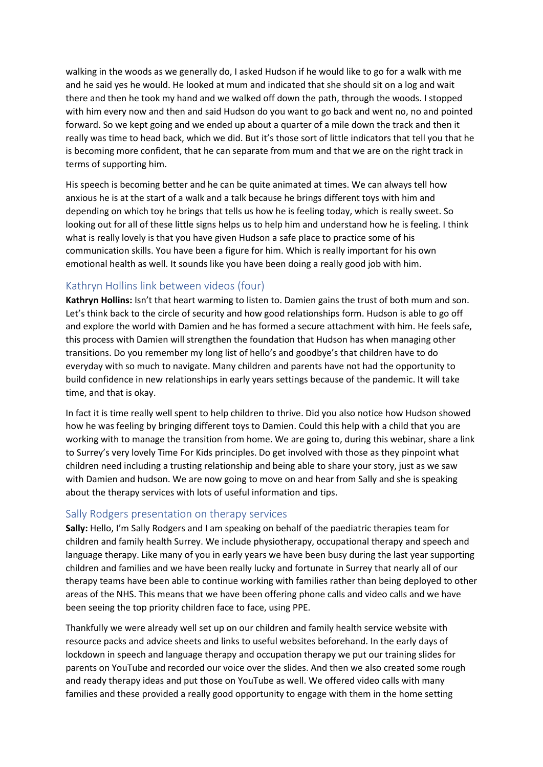walking in the woods as we generally do, I asked Hudson if he would like to go for a walk with me and he said yes he would. He looked at mum and indicated that she should sit on a log and wait there and then he took my hand and we walked off down the path, through the woods. I stopped with him every now and then and said Hudson do you want to go back and went no, no and pointed forward. So we kept going and we ended up about a quarter of a mile down the track and then it really was time to head back, which we did. But it's those sort of little indicators that tell you that he is becoming more confident, that he can separate from mum and that we are on the right track in terms of supporting him.

His speech is becoming better and he can be quite animated at times. We can always tell how anxious he is at the start of a walk and a talk because he brings different toys with him and depending on which toy he brings that tells us how he is feeling today, which is really sweet. So looking out for all of these little signs helps us to help him and understand how he is feeling. I think what is really lovely is that you have given Hudson a safe place to practice some of his communication skills. You have been a figure for him. Which is really important for his own emotional health as well. It sounds like you have been doing a really good job with him.

### Kathryn Hollins link between videos (four)

**Kathryn Hollins:** Isn't that heart warming to listen to. Damien gains the trust of both mum and son. Let's think back to the circle of security and how good relationships form. Hudson is able to go off and explore the world with Damien and he has formed a secure attachment with him. He feels safe, this process with Damien will strengthen the foundation that Hudson has when managing other transitions. Do you remember my long list of hello's and goodbye's that children have to do everyday with so much to navigate. Many children and parents have not had the opportunity to build confidence in new relationships in early years settings because of the pandemic. It will take time, and that is okay.

In fact it is time really well spent to help children to thrive. Did you also notice how Hudson showed how he was feeling by bringing different toys to Damien. Could this help with a child that you are working with to manage the transition from home. We are going to, during this webinar, share a link to Surrey's very lovely Time For Kids principles. Do get involved with those as they pinpoint what children need including a trusting relationship and being able to share your story, just as we saw with Damien and hudson. We are now going to move on and hear from Sally and she is speaking about the therapy services with lots of useful information and tips.

#### Sally Rodgers presentation on therapy services

**Sally:** Hello, I'm Sally Rodgers and I am speaking on behalf of the paediatric therapies team for children and family health Surrey. We include physiotherapy, occupational therapy and speech and language therapy. Like many of you in early years we have been busy during the last year supporting children and families and we have been really lucky and fortunate in Surrey that nearly all of our therapy teams have been able to continue working with families rather than being deployed to other areas of the NHS. This means that we have been offering phone calls and video calls and we have been seeing the top priority children face to face, using PPE.

Thankfully we were already well set up on our children and family health service website with resource packs and advice sheets and links to useful websites beforehand. In the early days of lockdown in speech and language therapy and occupation therapy we put our training slides for parents on YouTube and recorded our voice over the slides. And then we also created some rough and ready therapy ideas and put those on YouTube as well. We offered video calls with many families and these provided a really good opportunity to engage with them in the home setting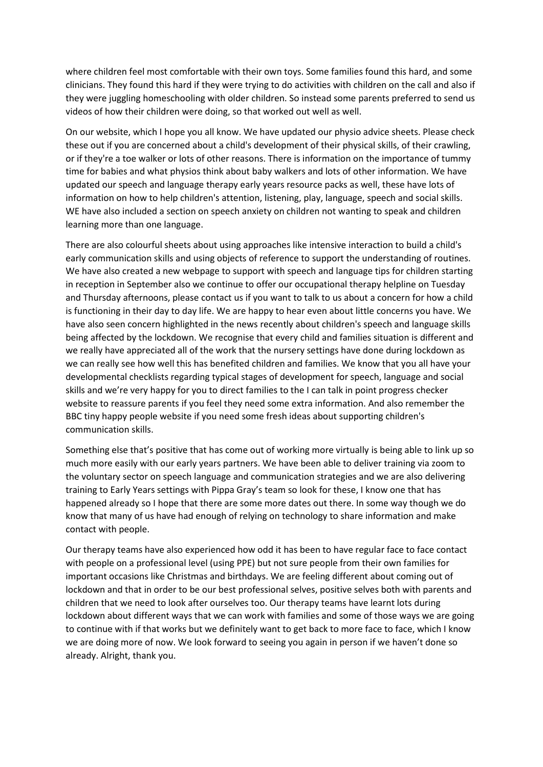where children feel most comfortable with their own toys. Some families found this hard, and some clinicians. They found this hard if they were trying to do activities with children on the call and also if they were juggling homeschooling with older children. So instead some parents preferred to send us videos of how their children were doing, so that worked out well as well.

On our website, which I hope you all know. We have updated our physio advice sheets. Please check these out if you are concerned about a child's development of their physical skills, of their crawling, or if they're a toe walker or lots of other reasons. There is information on the importance of tummy time for babies and what physios think about baby walkers and lots of other information. We have updated our speech and language therapy early years resource packs as well, these have lots of information on how to help children's attention, listening, play, language, speech and social skills. WE have also included a section on speech anxiety on children not wanting to speak and children learning more than one language.

There are also colourful sheets about using approaches like intensive interaction to build a child's early communication skills and using objects of reference to support the understanding of routines. We have also created a new webpage to support with speech and language tips for children starting in reception in September also we continue to offer our occupational therapy helpline on Tuesday and Thursday afternoons, please contact us if you want to talk to us about a concern for how a child is functioning in their day to day life. We are happy to hear even about little concerns you have. We have also seen concern highlighted in the news recently about children's speech and language skills being affected by the lockdown. We recognise that every child and families situation is different and we really have appreciated all of the work that the nursery settings have done during lockdown as we can really see how well this has benefited children and families. We know that you all have your developmental checklists regarding typical stages of development for speech, language and social skills and we're very happy for you to direct families to the I can talk in point progress checker website to reassure parents if you feel they need some extra information. And also remember the BBC tiny happy people website if you need some fresh ideas about supporting children's communication skills.

Something else that's positive that has come out of working more virtually is being able to link up so much more easily with our early years partners. We have been able to deliver training via zoom to the voluntary sector on speech language and communication strategies and we are also delivering training to Early Years settings with Pippa Gray's team so look for these, I know one that has happened already so I hope that there are some more dates out there. In some way though we do know that many of us have had enough of relying on technology to share information and make contact with people.

Our therapy teams have also experienced how odd it has been to have regular face to face contact with people on a professional level (using PPE) but not sure people from their own families for important occasions like Christmas and birthdays. We are feeling different about coming out of lockdown and that in order to be our best professional selves, positive selves both with parents and children that we need to look after ourselves too. Our therapy teams have learnt lots during lockdown about different ways that we can work with families and some of those ways we are going to continue with if that works but we definitely want to get back to more face to face, which I know we are doing more of now. We look forward to seeing you again in person if we haven't done so already. Alright, thank you.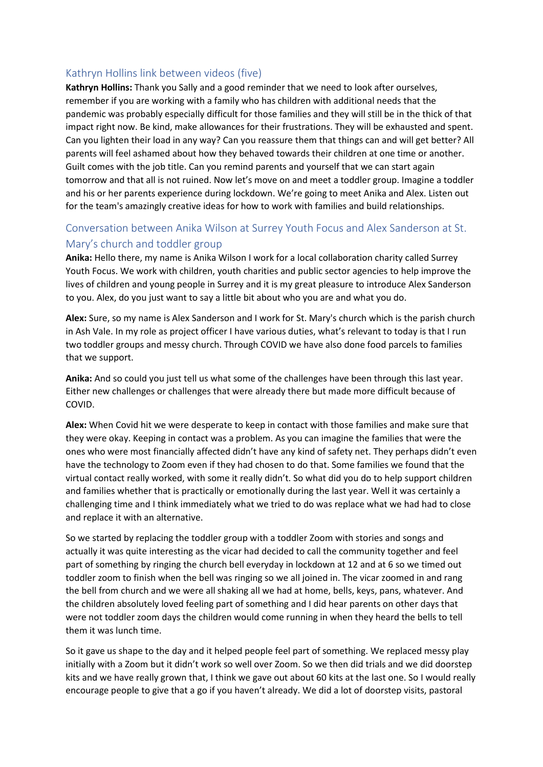### Kathryn Hollins link between videos (five)

**Kathryn Hollins:** Thank you Sally and a good reminder that we need to look after ourselves, remember if you are working with a family who has children with additional needs that the pandemic was probably especially difficult for those families and they will still be in the thick of that impact right now. Be kind, make allowances for their frustrations. They will be exhausted and spent. Can you lighten their load in any way? Can you reassure them that things can and will get better? All parents will feel ashamed about how they behaved towards their children at one time or another. Guilt comes with the job title. Can you remind parents and yourself that we can start again tomorrow and that all is not ruined. Now let's move on and meet a toddler group. Imagine a toddler and his or her parents experience during lockdown. We're going to meet Anika and Alex. Listen out for the team's amazingly creative ideas for how to work with families and build relationships.

# Conversation between Anika Wilson at Surrey Youth Focus and Alex Sanderson at St. Mary's church and toddler group

**Anika:** Hello there, my name is Anika Wilson I work for a local collaboration charity called Surrey Youth Focus. We work with children, youth charities and public sector agencies to help improve the lives of children and young people in Surrey and it is my great pleasure to introduce Alex Sanderson to you. Alex, do you just want to say a little bit about who you are and what you do.

**Alex:** Sure, so my name is Alex Sanderson and I work for St. Mary's church which is the parish church in Ash Vale. In my role as project officer I have various duties, what's relevant to today is that I run two toddler groups and messy church. Through COVID we have also done food parcels to families that we support.

**Anika:** And so could you just tell us what some of the challenges have been through this last year. Either new challenges or challenges that were already there but made more difficult because of COVID.

**Alex:** When Covid hit we were desperate to keep in contact with those families and make sure that they were okay. Keeping in contact was a problem. As you can imagine the families that were the ones who were most financially affected didn't have any kind of safety net. They perhaps didn't even have the technology to Zoom even if they had chosen to do that. Some families we found that the virtual contact really worked, with some it really didn't. So what did you do to help support children and families whether that is practically or emotionally during the last year. Well it was certainly a challenging time and I think immediately what we tried to do was replace what we had had to close and replace it with an alternative.

So we started by replacing the toddler group with a toddler Zoom with stories and songs and actually it was quite interesting as the vicar had decided to call the community together and feel part of something by ringing the church bell everyday in lockdown at 12 and at 6 so we timed out toddler zoom to finish when the bell was ringing so we all joined in. The vicar zoomed in and rang the bell from church and we were all shaking all we had at home, bells, keys, pans, whatever. And the children absolutely loved feeling part of something and I did hear parents on other days that were not toddler zoom days the children would come running in when they heard the bells to tell them it was lunch time.

So it gave us shape to the day and it helped people feel part of something. We replaced messy play initially with a Zoom but it didn't work so well over Zoom. So we then did trials and we did doorstep kits and we have really grown that, I think we gave out about 60 kits at the last one. So I would really encourage people to give that a go if you haven't already. We did a lot of doorstep visits, pastoral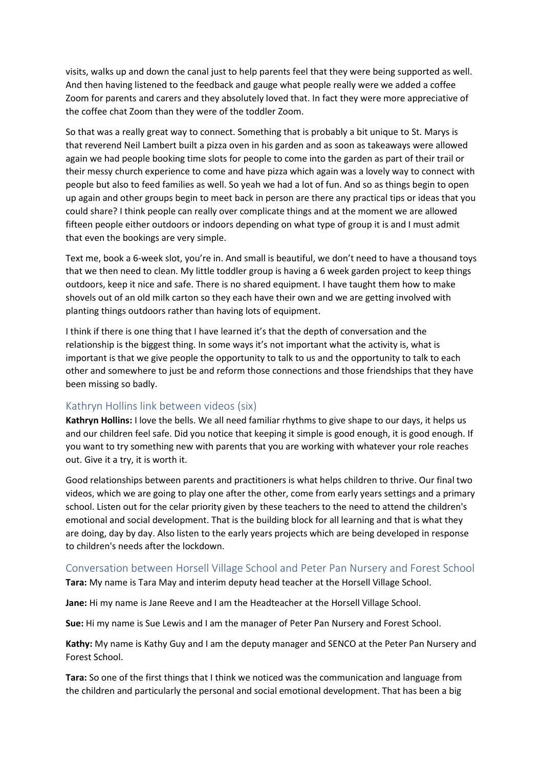visits, walks up and down the canal just to help parents feel that they were being supported as well. And then having listened to the feedback and gauge what people really were we added a coffee Zoom for parents and carers and they absolutely loved that. In fact they were more appreciative of the coffee chat Zoom than they were of the toddler Zoom.

So that was a really great way to connect. Something that is probably a bit unique to St. Marys is that reverend Neil Lambert built a pizza oven in his garden and as soon as takeaways were allowed again we had people booking time slots for people to come into the garden as part of their trail or their messy church experience to come and have pizza which again was a lovely way to connect with people but also to feed families as well. So yeah we had a lot of fun. And so as things begin to open up again and other groups begin to meet back in person are there any practical tips or ideas that you could share? I think people can really over complicate things and at the moment we are allowed fifteen people either outdoors or indoors depending on what type of group it is and I must admit that even the bookings are very simple.

Text me, book a 6-week slot, you're in. And small is beautiful, we don't need to have a thousand toys that we then need to clean. My little toddler group is having a 6 week garden project to keep things outdoors, keep it nice and safe. There is no shared equipment. I have taught them how to make shovels out of an old milk carton so they each have their own and we are getting involved with planting things outdoors rather than having lots of equipment.

I think if there is one thing that I have learned it's that the depth of conversation and the relationship is the biggest thing. In some ways it's not important what the activity is, what is important is that we give people the opportunity to talk to us and the opportunity to talk to each other and somewhere to just be and reform those connections and those friendships that they have been missing so badly.

#### Kathryn Hollins link between videos (six)

**Kathryn Hollins:** I love the bells. We all need familiar rhythms to give shape to our days, it helps us and our children feel safe. Did you notice that keeping it simple is good enough, it is good enough. If you want to try something new with parents that you are working with whatever your role reaches out. Give it a try, it is worth it.

Good relationships between parents and practitioners is what helps children to thrive. Our final two videos, which we are going to play one after the other, come from early years settings and a primary school. Listen out for the celar priority given by these teachers to the need to attend the children's emotional and social development. That is the building block for all learning and that is what they are doing, day by day. Also listen to the early years projects which are being developed in response to children's needs after the lockdown.

#### Conversation between Horsell Village School and Peter Pan Nursery and Forest School

**Tara:** My name is Tara May and interim deputy head teacher at the Horsell Village School.

**Jane:** Hi my name is Jane Reeve and I am the Headteacher at the Horsell Village School.

**Sue:** Hi my name is Sue Lewis and I am the manager of Peter Pan Nursery and Forest School.

**Kathy:** My name is Kathy Guy and I am the deputy manager and SENCO at the Peter Pan Nursery and Forest School.

**Tara:** So one of the first things that I think we noticed was the communication and language from the children and particularly the personal and social emotional development. That has been a big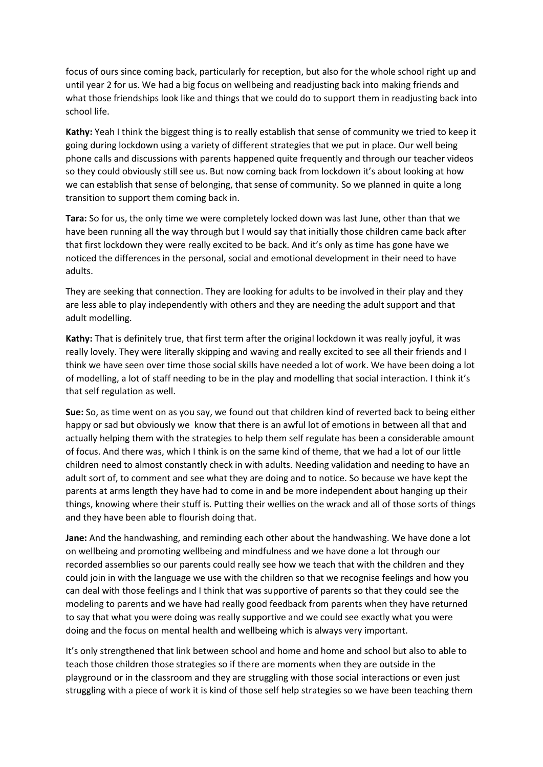focus of ours since coming back, particularly for reception, but also for the whole school right up and until year 2 for us. We had a big focus on wellbeing and readjusting back into making friends and what those friendships look like and things that we could do to support them in readjusting back into school life.

**Kathy:** Yeah I think the biggest thing is to really establish that sense of community we tried to keep it going during lockdown using a variety of different strategies that we put in place. Our well being phone calls and discussions with parents happened quite frequently and through our teacher videos so they could obviously still see us. But now coming back from lockdown it's about looking at how we can establish that sense of belonging, that sense of community. So we planned in quite a long transition to support them coming back in.

**Tara:** So for us, the only time we were completely locked down was last June, other than that we have been running all the way through but I would say that initially those children came back after that first lockdown they were really excited to be back. And it's only as time has gone have we noticed the differences in the personal, social and emotional development in their need to have adults.

They are seeking that connection. They are looking for adults to be involved in their play and they are less able to play independently with others and they are needing the adult support and that adult modelling.

**Kathy:** That is definitely true, that first term after the original lockdown it was really joyful, it was really lovely. They were literally skipping and waving and really excited to see all their friends and I think we have seen over time those social skills have needed a lot of work. We have been doing a lot of modelling, a lot of staff needing to be in the play and modelling that social interaction. I think it's that self regulation as well.

**Sue:** So, as time went on as you say, we found out that children kind of reverted back to being either happy or sad but obviously we know that there is an awful lot of emotions in between all that and actually helping them with the strategies to help them self regulate has been a considerable amount of focus. And there was, which I think is on the same kind of theme, that we had a lot of our little children need to almost constantly check in with adults. Needing validation and needing to have an adult sort of, to comment and see what they are doing and to notice. So because we have kept the parents at arms length they have had to come in and be more independent about hanging up their things, knowing where their stuff is. Putting their wellies on the wrack and all of those sorts of things and they have been able to flourish doing that.

**Jane:** And the handwashing, and reminding each other about the handwashing. We have done a lot on wellbeing and promoting wellbeing and mindfulness and we have done a lot through our recorded assemblies so our parents could really see how we teach that with the children and they could join in with the language we use with the children so that we recognise feelings and how you can deal with those feelings and I think that was supportive of parents so that they could see the modeling to parents and we have had really good feedback from parents when they have returned to say that what you were doing was really supportive and we could see exactly what you were doing and the focus on mental health and wellbeing which is always very important.

It's only strengthened that link between school and home and home and school but also to able to teach those children those strategies so if there are moments when they are outside in the playground or in the classroom and they are struggling with those social interactions or even just struggling with a piece of work it is kind of those self help strategies so we have been teaching them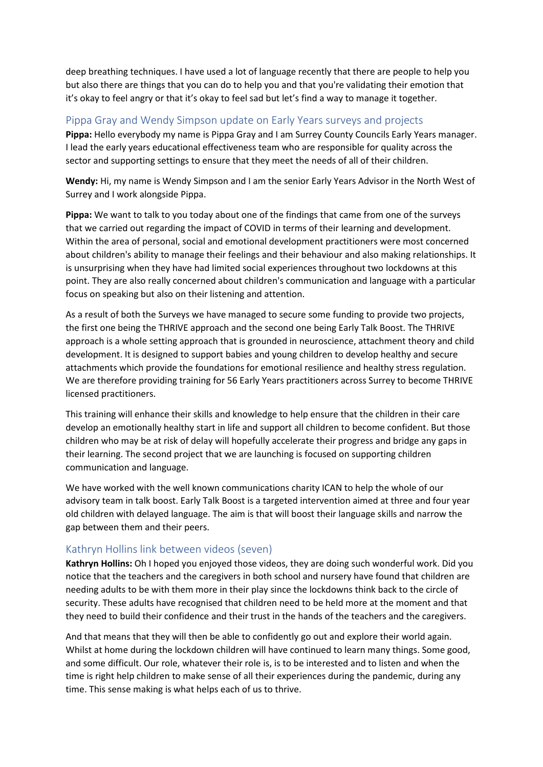deep breathing techniques. I have used a lot of language recently that there are people to help you but also there are things that you can do to help you and that you're validating their emotion that it's okay to feel angry or that it's okay to feel sad but let's find a way to manage it together.

## Pippa Gray and Wendy Simpson update on Early Years surveys and projects

**Pippa:** Hello everybody my name is Pippa Gray and I am Surrey County Councils Early Years manager. I lead the early years educational effectiveness team who are responsible for quality across the sector and supporting settings to ensure that they meet the needs of all of their children.

**Wendy:** Hi, my name is Wendy Simpson and I am the senior Early Years Advisor in the North West of Surrey and I work alongside Pippa.

**Pippa:** We want to talk to you today about one of the findings that came from one of the surveys that we carried out regarding the impact of COVID in terms of their learning and development. Within the area of personal, social and emotional development practitioners were most concerned about children's ability to manage their feelings and their behaviour and also making relationships. It is unsurprising when they have had limited social experiences throughout two lockdowns at this point. They are also really concerned about children's communication and language with a particular focus on speaking but also on their listening and attention.

As a result of both the Surveys we have managed to secure some funding to provide two projects, the first one being the THRIVE approach and the second one being Early Talk Boost. The THRIVE approach is a whole setting approach that is grounded in neuroscience, attachment theory and child development. It is designed to support babies and young children to develop healthy and secure attachments which provide the foundations for emotional resilience and healthy stress regulation. We are therefore providing training for 56 Early Years practitioners across Surrey to become THRIVE licensed practitioners.

This training will enhance their skills and knowledge to help ensure that the children in their care develop an emotionally healthy start in life and support all children to become confident. But those children who may be at risk of delay will hopefully accelerate their progress and bridge any gaps in their learning. The second project that we are launching is focused on supporting children communication and language.

We have worked with the well known communications charity ICAN to help the whole of our advisory team in talk boost. Early Talk Boost is a targeted intervention aimed at three and four year old children with delayed language. The aim is that will boost their language skills and narrow the gap between them and their peers.

### Kathryn Hollins link between videos (seven)

**Kathryn Hollins:** Oh I hoped you enjoyed those videos, they are doing such wonderful work. Did you notice that the teachers and the caregivers in both school and nursery have found that children are needing adults to be with them more in their play since the lockdowns think back to the circle of security. These adults have recognised that children need to be held more at the moment and that they need to build their confidence and their trust in the hands of the teachers and the caregivers.

And that means that they will then be able to confidently go out and explore their world again. Whilst at home during the lockdown children will have continued to learn many things. Some good, and some difficult. Our role, whatever their role is, is to be interested and to listen and when the time is right help children to make sense of all their experiences during the pandemic, during any time. This sense making is what helps each of us to thrive.